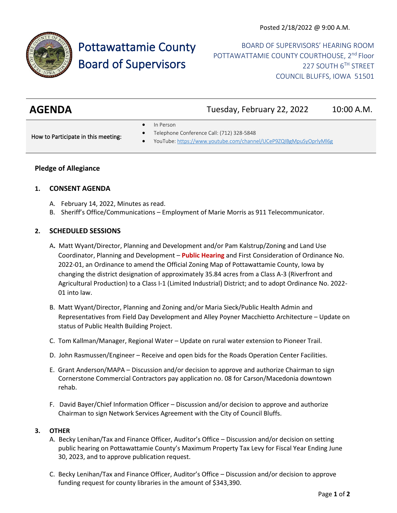

# Pottawattamie County Board of Supervisors

BOARD OF SUPERVISORS' HEARING ROOM POTTAWATTAMIE COUNTY COURTHOUSE, 2<sup>nd</sup> Floor 227 SOUTH 6TH STREET COUNCIL BLUFFS, IOWA 51501

| <b>AGENDA</b><br>Tuesday, February 22, 2022<br>10:00 A.M. |
|-----------------------------------------------------------|
|-----------------------------------------------------------|

In Person

How to Participate in this meeting:

- Telephone Conference Call: (712) 328-5848
- YouTube[: https://www.youtube.com/channel/UCeP9ZQIBgMpuSyOprlyMl6g](https://www.youtube.com/channel/UCeP9ZQIBgMpuSyOprlyMl6g)

# **Pledge of Allegiance**

## **1. CONSENT AGENDA**

- A. February 14, 2022, Minutes as read.
- B. Sheriff's Office/Communications Employment of Marie Morris as 911 Telecommunicator.

# **2. SCHEDULED SESSIONS**

- A**.** Matt Wyant/Director, Planning and Development and/or Pam Kalstrup/Zoning and Land Use Coordinator, Planning and Development – **Public Hearing** and First Consideration of Ordinance No. 2022-01, an Ordinance to amend the Official Zoning Map of Pottawattamie County, Iowa by changing the district designation of approximately 35.84 acres from a Class A-3 (Riverfront and Agricultural Production) to a Class I-1 (Limited Industrial) District; and to adopt Ordinance No. 2022- 01 into law.
- B. Matt Wyant/Director, Planning and Zoning and/or Maria Sieck/Public Health Admin and Representatives from Field Day Development and Alley Poyner Macchietto Architecture – Update on status of Public Health Building Project.
- C. Tom Kallman/Manager, Regional Water Update on rural water extension to Pioneer Trail.
- D. John Rasmussen/Engineer Receive and open bids for the Roads Operation Center Facilities.
- E. Grant Anderson/MAPA Discussion and/or decision to approve and authorize Chairman to sign Cornerstone Commercial Contractors pay application no. 08 for Carson/Macedonia downtown rehab.
- F. David Bayer/Chief Information Officer Discussion and/or decision to approve and authorize Chairman to sign Network Services Agreement with the City of Council Bluffs.

## **3. OTHER**

- A. Becky Lenihan/Tax and Finance Officer, Auditor's Office Discussion and/or decision on setting public hearing on Pottawattamie County's Maximum Property Tax Levy for Fiscal Year Ending June 30, 2023, and to approve publication request.
- C. Becky Lenihan/Tax and Finance Officer, Auditor's Office Discussion and/or decision to approve funding request for county libraries in the amount of \$343,390.